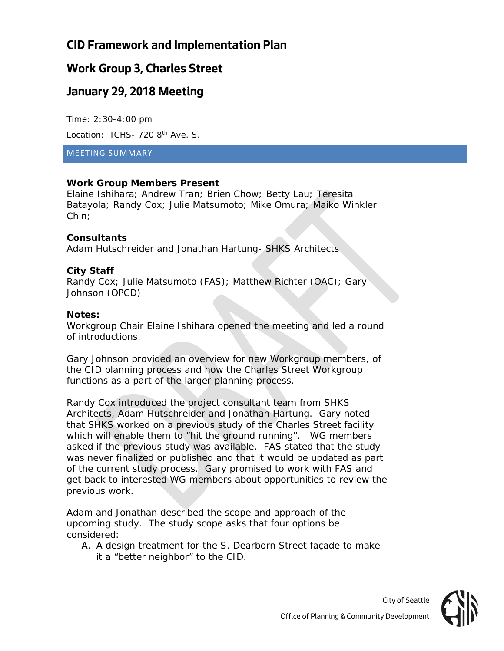# **CID Framework and Implementation Plan**

# **Work Group 3, Charles Street**

## **January 29, 2018 Meeting**

Time: 2:30-4:00 pm Location: ICHS- 720 8<sup>th</sup> Ave. S.

#### MEETING SUMMARY

### **Work Group Members Present**

Elaine Ishihara; Andrew Tran; Brien Chow; Betty Lau; Teresita Batayola; Randy Cox; Julie Matsumoto; Mike Omura; Maiko Winkler Chin;

#### **Consultants**

Adam Hutschreider and Jonathan Hartung- SHKS Architects

### **City Staff**

Randy Cox; Julie Matsumoto (FAS); Matthew Richter (OAC); Gary Johnson (OPCD)

#### **Notes:**

Workgroup Chair Elaine Ishihara opened the meeting and led a round of introductions.

Gary Johnson provided an overview for new Workgroup members, of the CID planning process and how the Charles Street Workgroup functions as a part of the larger planning process.

Randy Cox introduced the project consultant team from SHKS Architects, Adam Hutschreider and Jonathan Hartung. Gary noted that SHKS worked on a previous study of the Charles Street facility which will enable them to "hit the ground running". WG members asked if the previous study was available. FAS stated that the study was never finalized or published and that it would be updated as part of the current study process. Gary promised to work with FAS and get back to interested WG members about opportunities to review the previous work.

Adam and Jonathan described the scope and approach of the upcoming study. The study scope asks that four options be considered:

A. A design treatment for the S. Dearborn Street façade to make it a "better neighbor" to the CID.

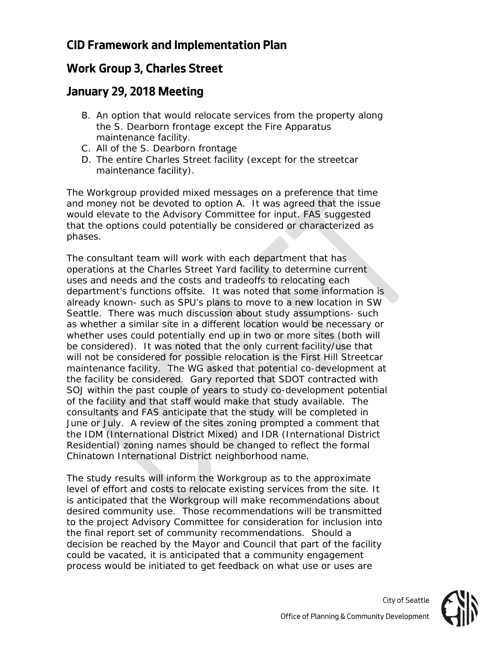# **CID Framework and Implementation Plan**

# **Work Group 3, Charles Street**

## **January 29, 2018 Meeting**

- B. An option that would relocate services from the property along the S. Dearborn frontage except the Fire Apparatus maintenance facility.
- C. All of the S. Dearborn frontage
- D. The entire Charles Street facility (except for the streetcar maintenance facility).

The Workgroup provided mixed messages on a preference that time and money not be devoted to option A. It was agreed that the issue would elevate to the Advisory Committee for input. FAS suggested that the options could potentially be considered or characterized as phases.

The consultant team will work with each department that has operations at the Charles Street Yard facility to determine current uses and needs and the costs and tradeoffs to relocating each department's functions offsite. It was noted that some information is already known- such as SPU's plans to move to a new location in SW Seattle. There was much discussion about study assumptions- such as whether a similar site in a different location would be necessary or whether uses could potentially end up in two or more sites (both will be considered). It was noted that the only current facility/use that will not be considered for possible relocation is the First Hill Streetcar maintenance facility. The WG asked that potential co-development at the facility be considered. Gary reported that SDOT contracted with SOJ within the past couple of years to study co-development potential of the facility and that staff would make that study available. The consultants and FAS anticipate that the study will be completed in June or July. A review of the sites zoning prompted a comment that the IDM (International District Mixed) and IDR (International District Residential) zoning names should be changed to reflect the formal Chinatown International District neighborhood name.

The study results will inform the Workgroup as to the approximate level of effort and costs to relocate existing services from the site. It is anticipated that the Workgroup will make recommendations about desired community use. Those recommendations will be transmitted to the project Advisory Committee for consideration for inclusion into the final report set of community recommendations. Should a decision be reached by the Mayor and Council that part of the facility could be vacated, it is anticipated that a community engagement process would be initiated to get feedback on what use or uses are